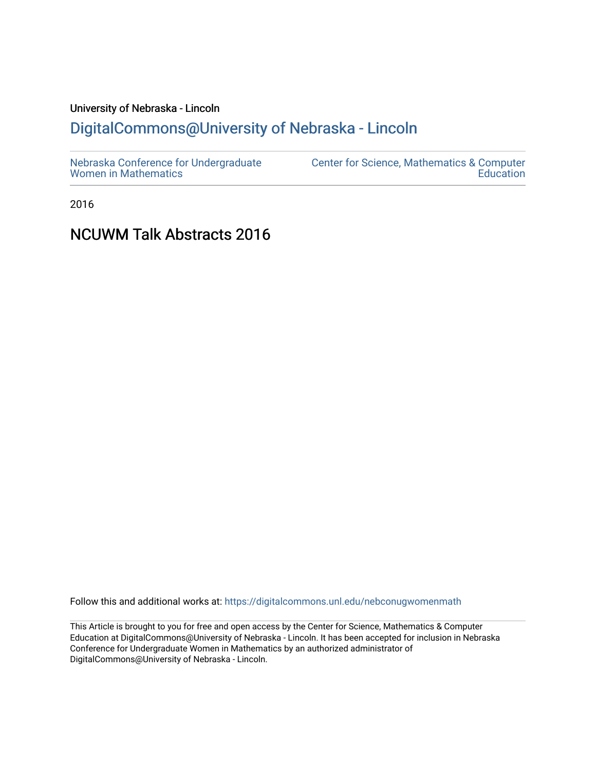# University of Nebraska - Lincoln [DigitalCommons@University of Nebraska - Lincoln](https://digitalcommons.unl.edu/)

2016

# NCUWM Talk Abstracts 2016

Follow this and additional works at: [https://digitalcommons.unl.edu/nebconugwomenmath](https://digitalcommons.unl.edu/nebconugwomenmath?utm_source=digitalcommons.unl.edu%2Fnebconugwomenmath%2F22&utm_medium=PDF&utm_campaign=PDFCoverPages)

This Article is brought to you for free and open access by the Center for Science, Mathematics & Computer Education at DigitalCommons@University of Nebraska - Lincoln. It has been accepted for inclusion in Nebraska Conference for Undergraduate Women in Mathematics by an authorized administrator of DigitalCommons@University of Nebraska - Lincoln.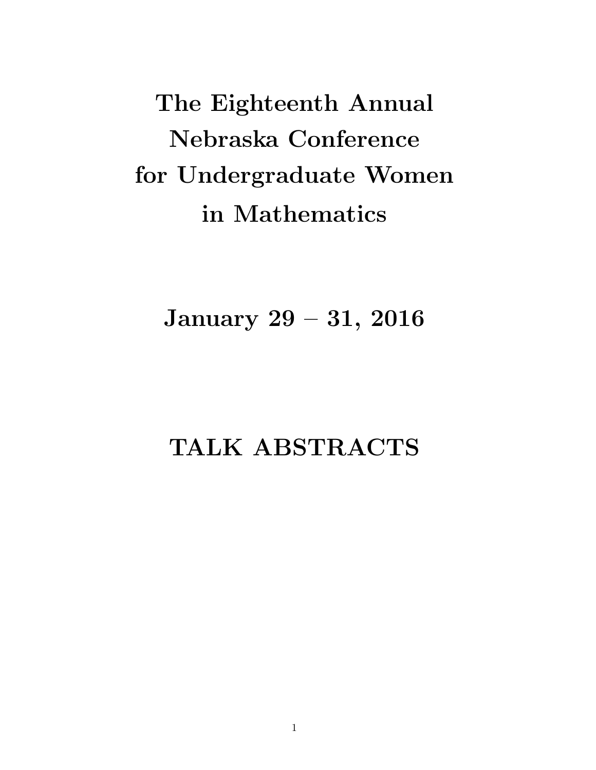The Eighteenth Annual Nebraska Conference for Undergraduate Women in Mathematics

January 29 – 31, 2016

TALK ABSTRACTS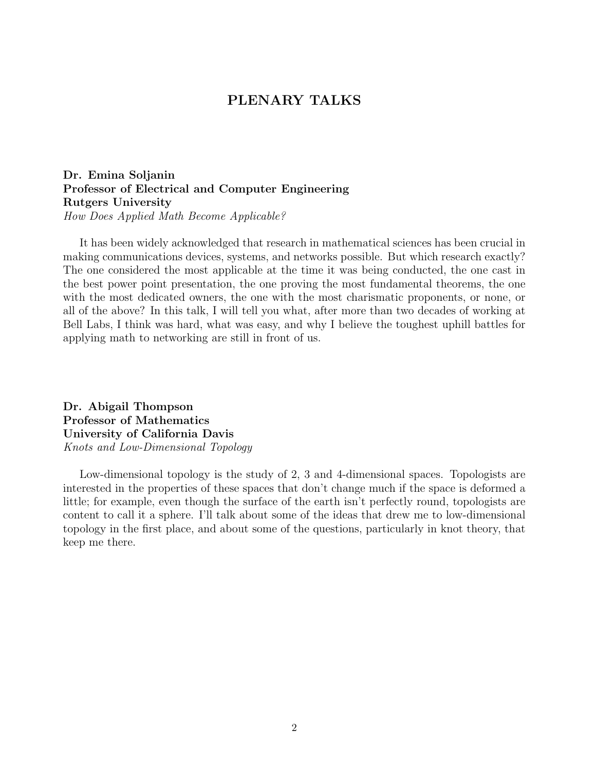# PLENARY TALKS

Dr. Emina Soljanin Professor of Electrical and Computer Engineering Rutgers University How Does Applied Math Become Applicable?

It has been widely acknowledged that research in mathematical sciences has been crucial in making communications devices, systems, and networks possible. But which research exactly? The one considered the most applicable at the time it was being conducted, the one cast in the best power point presentation, the one proving the most fundamental theorems, the one with the most dedicated owners, the one with the most charismatic proponents, or none, or all of the above? In this talk, I will tell you what, after more than two decades of working at Bell Labs, I think was hard, what was easy, and why I believe the toughest uphill battles for applying math to networking are still in front of us.

Dr. Abigail Thompson Professor of Mathematics University of California Davis Knots and Low-Dimensional Topology

Low-dimensional topology is the study of 2, 3 and 4-dimensional spaces. Topologists are interested in the properties of these spaces that don't change much if the space is deformed a little; for example, even though the surface of the earth isn't perfectly round, topologists are content to call it a sphere. I'll talk about some of the ideas that drew me to low-dimensional topology in the first place, and about some of the questions, particularly in knot theory, that keep me there.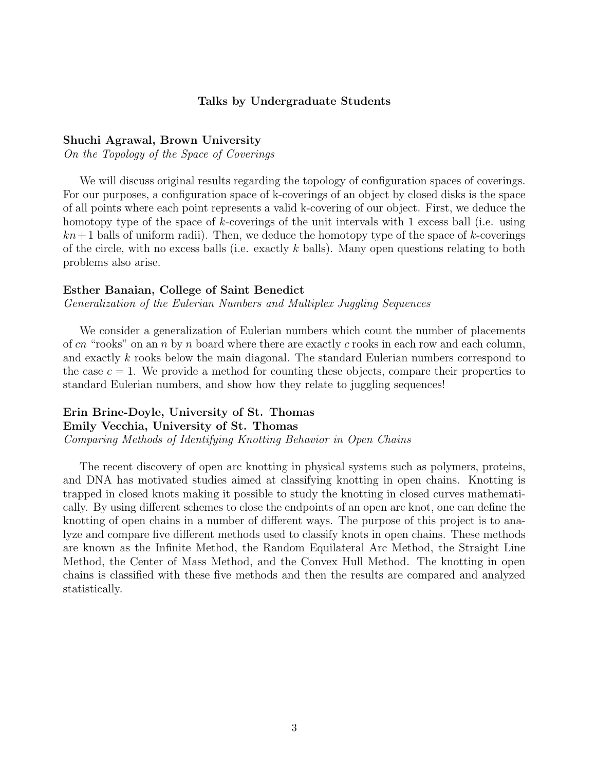# Talks by Undergraduate Students

## Shuchi Agrawal, Brown University

On the Topology of the Space of Coverings

We will discuss original results regarding the topology of configuration spaces of coverings. For our purposes, a configuration space of k-coverings of an object by closed disks is the space of all points where each point represents a valid k-covering of our object. First, we deduce the homotopy type of the space of k-coverings of the unit intervals with 1 excess ball (i.e. using  $kn+1$  balls of uniform radii). Then, we deduce the homotopy type of the space of k-coverings of the circle, with no excess balls (i.e. exactly k balls). Many open questions relating to both problems also arise.

#### Esther Banaian, College of Saint Benedict

Generalization of the Eulerian Numbers and Multiplex Juggling Sequences

We consider a generalization of Eulerian numbers which count the number of placements of cn "rooks" on an n by n board where there are exactly c rooks in each row and each column, and exactly k rooks below the main diagonal. The standard Eulerian numbers correspond to the case  $c = 1$ . We provide a method for counting these objects, compare their properties to standard Eulerian numbers, and show how they relate to juggling sequences!

# Erin Brine-Doyle, University of St. Thomas Emily Vecchia, University of St. Thomas Comparing Methods of Identifying Knotting Behavior in Open Chains

The recent discovery of open arc knotting in physical systems such as polymers, proteins, and DNA has motivated studies aimed at classifying knotting in open chains. Knotting is trapped in closed knots making it possible to study the knotting in closed curves mathematically. By using different schemes to close the endpoints of an open arc knot, one can define the knotting of open chains in a number of different ways. The purpose of this project is to analyze and compare five different methods used to classify knots in open chains. These methods are known as the Infinite Method, the Random Equilateral Arc Method, the Straight Line Method, the Center of Mass Method, and the Convex Hull Method. The knotting in open chains is classified with these five methods and then the results are compared and analyzed statistically.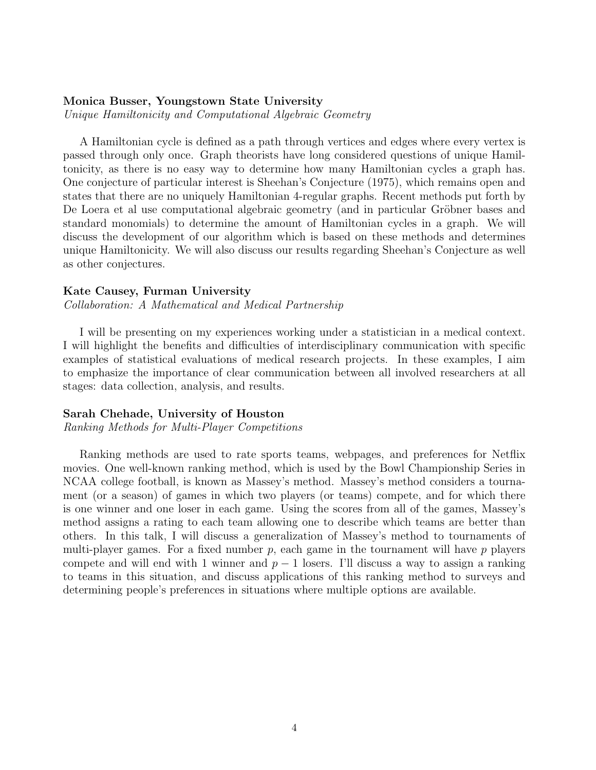# Monica Busser, Youngstown State University

Unique Hamiltonicity and Computational Algebraic Geometry

A Hamiltonian cycle is defined as a path through vertices and edges where every vertex is passed through only once. Graph theorists have long considered questions of unique Hamiltonicity, as there is no easy way to determine how many Hamiltonian cycles a graph has. One conjecture of particular interest is Sheehan's Conjecture (1975), which remains open and states that there are no uniquely Hamiltonian 4-regular graphs. Recent methods put forth by De Loera et al use computational algebraic geometry (and in particular Gröbner bases and standard monomials) to determine the amount of Hamiltonian cycles in a graph. We will discuss the development of our algorithm which is based on these methods and determines unique Hamiltonicity. We will also discuss our results regarding Sheehan's Conjecture as well as other conjectures.

# Kate Causey, Furman University

Collaboration: A Mathematical and Medical Partnership

I will be presenting on my experiences working under a statistician in a medical context. I will highlight the benefits and difficulties of interdisciplinary communication with specific examples of statistical evaluations of medical research projects. In these examples, I aim to emphasize the importance of clear communication between all involved researchers at all stages: data collection, analysis, and results.

# Sarah Chehade, University of Houston

Ranking Methods for Multi-Player Competitions

Ranking methods are used to rate sports teams, webpages, and preferences for Netflix movies. One well-known ranking method, which is used by the Bowl Championship Series in NCAA college football, is known as Massey's method. Massey's method considers a tournament (or a season) of games in which two players (or teams) compete, and for which there is one winner and one loser in each game. Using the scores from all of the games, Massey's method assigns a rating to each team allowing one to describe which teams are better than others. In this talk, I will discuss a generalization of Massey's method to tournaments of multi-player games. For a fixed number  $p$ , each game in the tournament will have  $p$  players compete and will end with 1 winner and  $p-1$  losers. I'll discuss a way to assign a ranking to teams in this situation, and discuss applications of this ranking method to surveys and determining people's preferences in situations where multiple options are available.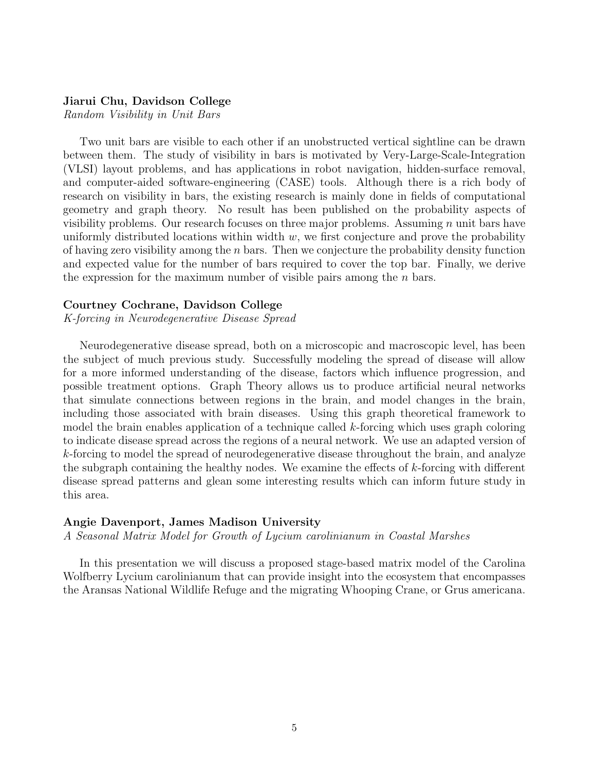# Jiarui Chu, Davidson College

Random Visibility in Unit Bars

Two unit bars are visible to each other if an unobstructed vertical sightline can be drawn between them. The study of visibility in bars is motivated by Very-Large-Scale-Integration (VLSI) layout problems, and has applications in robot navigation, hidden-surface removal, and computer-aided software-engineering (CASE) tools. Although there is a rich body of research on visibility in bars, the existing research is mainly done in fields of computational geometry and graph theory. No result has been published on the probability aspects of visibility problems. Our research focuses on three major problems. Assuming  $n$  unit bars have uniformly distributed locations within width  $w$ , we first conjecture and prove the probability of having zero visibility among the  $n$  bars. Then we conjecture the probability density function and expected value for the number of bars required to cover the top bar. Finally, we derive the expression for the maximum number of visible pairs among the  $n$  bars.

#### Courtney Cochrane, Davidson College

K-forcing in Neurodegenerative Disease Spread

Neurodegenerative disease spread, both on a microscopic and macroscopic level, has been the subject of much previous study. Successfully modeling the spread of disease will allow for a more informed understanding of the disease, factors which influence progression, and possible treatment options. Graph Theory allows us to produce artificial neural networks that simulate connections between regions in the brain, and model changes in the brain, including those associated with brain diseases. Using this graph theoretical framework to model the brain enables application of a technique called  $k$ -forcing which uses graph coloring to indicate disease spread across the regions of a neural network. We use an adapted version of k-forcing to model the spread of neurodegenerative disease throughout the brain, and analyze the subgraph containing the healthy nodes. We examine the effects of k-forcing with different disease spread patterns and glean some interesting results which can inform future study in this area.

#### Angie Davenport, James Madison University

A Seasonal Matrix Model for Growth of Lycium carolinianum in Coastal Marshes

In this presentation we will discuss a proposed stage-based matrix model of the Carolina Wolfberry Lycium carolinianum that can provide insight into the ecosystem that encompasses the Aransas National Wildlife Refuge and the migrating Whooping Crane, or Grus americana.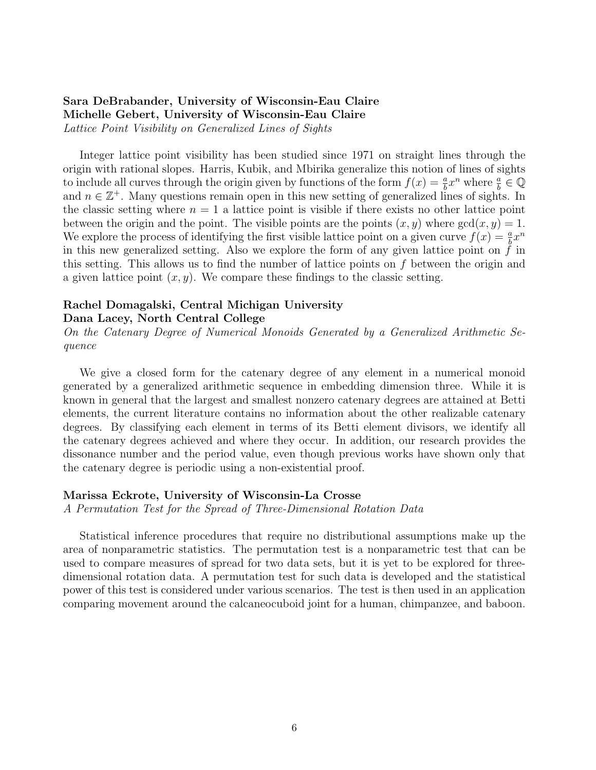# Sara DeBrabander, University of Wisconsin-Eau Claire Michelle Gebert, University of Wisconsin-Eau Claire Lattice Point Visibility on Generalized Lines of Sights

Integer lattice point visibility has been studied since 1971 on straight lines through the origin with rational slopes. Harris, Kubik, and Mbirika generalize this notion of lines of sights to include all curves through the origin given by functions of the form  $f(x) = \frac{a}{b}x^n$  where  $\frac{a}{b} \in \mathbb{Q}$ and  $n \in \mathbb{Z}^+$ . Many questions remain open in this new setting of generalized lines of sights. In the classic setting where  $n = 1$  a lattice point is visible if there exists no other lattice point between the origin and the point. The visible points are the points  $(x, y)$  where  $gcd(x, y) = 1$ . We explore the process of identifying the first visible lattice point on a given curve  $f(x) = \frac{a}{b}x^n$ in this new generalized setting. Also we explore the form of any given lattice point on  $f$  in this setting. This allows us to find the number of lattice points on f between the origin and a given lattice point  $(x, y)$ . We compare these findings to the classic setting.

# Rachel Domagalski, Central Michigan University

# Dana Lacey, North Central College

On the Catenary Degree of Numerical Monoids Generated by a Generalized Arithmetic Sequence

We give a closed form for the catenary degree of any element in a numerical monoid generated by a generalized arithmetic sequence in embedding dimension three. While it is known in general that the largest and smallest nonzero catenary degrees are attained at Betti elements, the current literature contains no information about the other realizable catenary degrees. By classifying each element in terms of its Betti element divisors, we identify all the catenary degrees achieved and where they occur. In addition, our research provides the dissonance number and the period value, even though previous works have shown only that the catenary degree is periodic using a non-existential proof.

# Marissa Eckrote, University of Wisconsin-La Crosse

A Permutation Test for the Spread of Three-Dimensional Rotation Data

Statistical inference procedures that require no distributional assumptions make up the area of nonparametric statistics. The permutation test is a nonparametric test that can be used to compare measures of spread for two data sets, but it is yet to be explored for threedimensional rotation data. A permutation test for such data is developed and the statistical power of this test is considered under various scenarios. The test is then used in an application comparing movement around the calcaneocuboid joint for a human, chimpanzee, and baboon.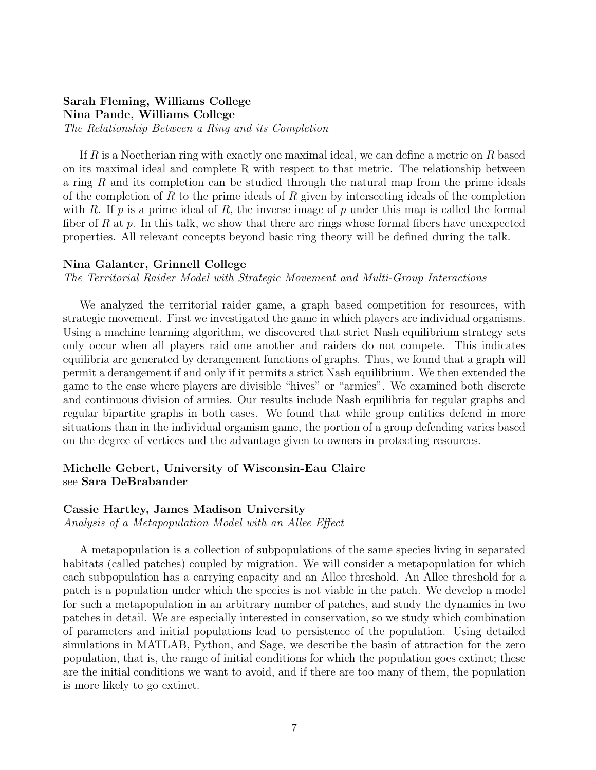# Sarah Fleming, Williams College Nina Pande, Williams College

The Relationship Between a Ring and its Completion

If R is a Noetherian ring with exactly one maximal ideal, we can define a metric on R based on its maximal ideal and complete R with respect to that metric. The relationship between a ring R and its completion can be studied through the natural map from the prime ideals of the completion of R to the prime ideals of R given by intersecting ideals of the completion with R. If p is a prime ideal of R, the inverse image of p under this map is called the formal fiber of R at p. In this talk, we show that there are rings whose formal fibers have unexpected properties. All relevant concepts beyond basic ring theory will be defined during the talk.

# Nina Galanter, Grinnell College

The Territorial Raider Model with Strategic Movement and Multi-Group Interactions

We analyzed the territorial raider game, a graph based competition for resources, with strategic movement. First we investigated the game in which players are individual organisms. Using a machine learning algorithm, we discovered that strict Nash equilibrium strategy sets only occur when all players raid one another and raiders do not compete. This indicates equilibria are generated by derangement functions of graphs. Thus, we found that a graph will permit a derangement if and only if it permits a strict Nash equilibrium. We then extended the game to the case where players are divisible "hives" or "armies". We examined both discrete and continuous division of armies. Our results include Nash equilibria for regular graphs and regular bipartite graphs in both cases. We found that while group entities defend in more situations than in the individual organism game, the portion of a group defending varies based on the degree of vertices and the advantage given to owners in protecting resources.

# Michelle Gebert, University of Wisconsin-Eau Claire see Sara DeBrabander

## Cassie Hartley, James Madison University

Analysis of a Metapopulation Model with an Allee Effect

A metapopulation is a collection of subpopulations of the same species living in separated habitats (called patches) coupled by migration. We will consider a metapopulation for which each subpopulation has a carrying capacity and an Allee threshold. An Allee threshold for a patch is a population under which the species is not viable in the patch. We develop a model for such a metapopulation in an arbitrary number of patches, and study the dynamics in two patches in detail. We are especially interested in conservation, so we study which combination of parameters and initial populations lead to persistence of the population. Using detailed simulations in MATLAB, Python, and Sage, we describe the basin of attraction for the zero population, that is, the range of initial conditions for which the population goes extinct; these are the initial conditions we want to avoid, and if there are too many of them, the population is more likely to go extinct.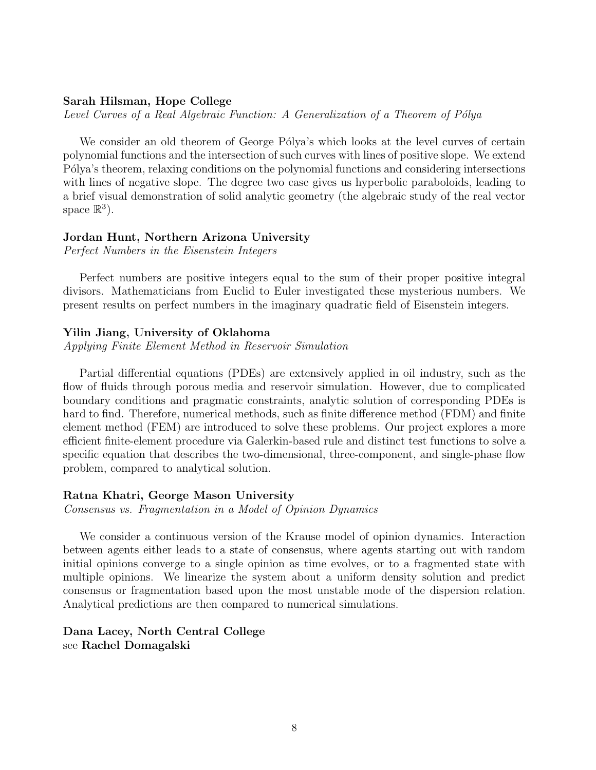## Sarah Hilsman, Hope College

Level Curves of a Real Algebraic Function: A Generalization of a Theorem of Pólya

We consider an old theorem of George Pólya's which looks at the level curves of certain polynomial functions and the intersection of such curves with lines of positive slope. We extend P'olya's theorem, relaxing conditions on the polynomial functions and considering intersections with lines of negative slope. The degree two case gives us hyperbolic paraboloids, leading to a brief visual demonstration of solid analytic geometry (the algebraic study of the real vector space  $\mathbb{R}^3$ ).

## Jordan Hunt, Northern Arizona University

Perfect Numbers in the Eisenstein Integers

Perfect numbers are positive integers equal to the sum of their proper positive integral divisors. Mathematicians from Euclid to Euler investigated these mysterious numbers. We present results on perfect numbers in the imaginary quadratic field of Eisenstein integers.

#### Yilin Jiang, University of Oklahoma

Applying Finite Element Method in Reservoir Simulation

Partial differential equations (PDEs) are extensively applied in oil industry, such as the flow of fluids through porous media and reservoir simulation. However, due to complicated boundary conditions and pragmatic constraints, analytic solution of corresponding PDEs is hard to find. Therefore, numerical methods, such as finite difference method (FDM) and finite element method (FEM) are introduced to solve these problems. Our project explores a more efficient finite-element procedure via Galerkin-based rule and distinct test functions to solve a specific equation that describes the two-dimensional, three-component, and single-phase flow problem, compared to analytical solution.

## Ratna Khatri, George Mason University

Consensus vs. Fragmentation in a Model of Opinion Dynamics

We consider a continuous version of the Krause model of opinion dynamics. Interaction between agents either leads to a state of consensus, where agents starting out with random initial opinions converge to a single opinion as time evolves, or to a fragmented state with multiple opinions. We linearize the system about a uniform density solution and predict consensus or fragmentation based upon the most unstable mode of the dispersion relation. Analytical predictions are then compared to numerical simulations.

# Dana Lacey, North Central College see Rachel Domagalski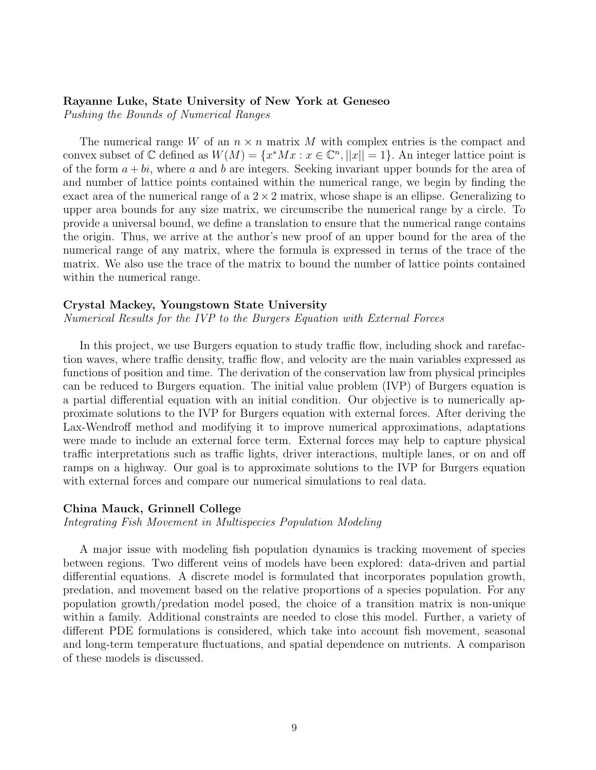## Rayanne Luke, State University of New York at Geneseo

Pushing the Bounds of Numerical Ranges

The numerical range W of an  $n \times n$  matrix M with complex entries is the compact and convex subset of  $\mathbb C$  defined as  $W(M) = \{x^*Mx : x \in \mathbb C^n, ||x|| = 1\}$ . An integer lattice point is of the form  $a + bi$ , where a and b are integers. Seeking invariant upper bounds for the area of and number of lattice points contained within the numerical range, we begin by finding the exact area of the numerical range of a  $2 \times 2$  matrix, whose shape is an ellipse. Generalizing to upper area bounds for any size matrix, we circumscribe the numerical range by a circle. To provide a universal bound, we define a translation to ensure that the numerical range contains the origin. Thus, we arrive at the author's new proof of an upper bound for the area of the numerical range of any matrix, where the formula is expressed in terms of the trace of the matrix. We also use the trace of the matrix to bound the number of lattice points contained within the numerical range.

# Crystal Mackey, Youngstown State University

Numerical Results for the IVP to the Burgers Equation with External Forces

In this project, we use Burgers equation to study traffic flow, including shock and rarefaction waves, where traffic density, traffic flow, and velocity are the main variables expressed as functions of position and time. The derivation of the conservation law from physical principles can be reduced to Burgers equation. The initial value problem (IVP) of Burgers equation is a partial differential equation with an initial condition. Our objective is to numerically approximate solutions to the IVP for Burgers equation with external forces. After deriving the Lax-Wendroff method and modifying it to improve numerical approximations, adaptations were made to include an external force term. External forces may help to capture physical traffic interpretations such as traffic lights, driver interactions, multiple lanes, or on and off ramps on a highway. Our goal is to approximate solutions to the IVP for Burgers equation with external forces and compare our numerical simulations to real data.

#### China Mauck, Grinnell College

Integrating Fish Movement in Multispecies Population Modeling

A major issue with modeling fish population dynamics is tracking movement of species between regions. Two different veins of models have been explored: data-driven and partial differential equations. A discrete model is formulated that incorporates population growth, predation, and movement based on the relative proportions of a species population. For any population growth/predation model posed, the choice of a transition matrix is non-unique within a family. Additional constraints are needed to close this model. Further, a variety of different PDE formulations is considered, which take into account fish movement, seasonal and long-term temperature fluctuations, and spatial dependence on nutrients. A comparison of these models is discussed.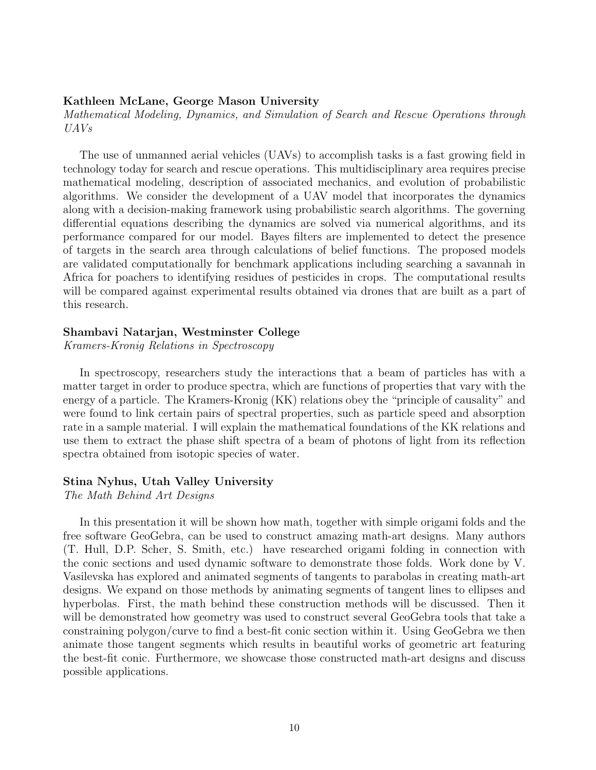## Kathleen McLane, George Mason University

Mathematical Modeling, Dynamics, and Simulation of Search and Rescue Operations through UAVs

The use of unmanned aerial vehicles (UAVs) to accomplish tasks is a fast growing field in technology today for search and rescue operations. This multidisciplinary area requires precise mathematical modeling, description of associated mechanics, and evolution of probabilistic algorithms. We consider the development of a UAV model that incorporates the dynamics along with a decision-making framework using probabilistic search algorithms. The governing differential equations describing the dynamics are solved via numerical algorithms, and its performance compared for our model. Bayes filters are implemented to detect the presence of targets in the search area through calculations of belief functions. The proposed models are validated computationally for benchmark applications including searching a savannah in Africa for poachers to identifying residues of pesticides in crops. The computational results will be compared against experimental results obtained via drones that are built as a part of this research.

# Shambavi Natarjan, Westminster College

Kramers-Kronig Relations in Spectroscopy

In spectroscopy, researchers study the interactions that a beam of particles has with a matter target in order to produce spectra, which are functions of properties that vary with the energy of a particle. The Kramers-Kronig (KK) relations obey the "principle of causality" and were found to link certain pairs of spectral properties, such as particle speed and absorption rate in a sample material. I will explain the mathematical foundations of the KK relations and use them to extract the phase shift spectra of a beam of photons of light from its reflection spectra obtained from isotopic species of water.

#### Stina Nyhus, Utah Valley University

The Math Behind Art Designs

In this presentation it will be shown how math, together with simple origami folds and the free software GeoGebra, can be used to construct amazing math-art designs. Many authors (T. Hull, D.P. Scher, S. Smith, etc.) have researched origami folding in connection with the conic sections and used dynamic software to demonstrate those folds. Work done by V. Vasilevska has explored and animated segments of tangents to parabolas in creating math-art designs. We expand on those methods by animating segments of tangent lines to ellipses and hyperbolas. First, the math behind these construction methods will be discussed. Then it will be demonstrated how geometry was used to construct several GeoGebra tools that take a constraining polygon/curve to find a best-fit conic section within it. Using GeoGebra we then animate those tangent segments which results in beautiful works of geometric art featuring the best-fit conic. Furthermore, we showcase those constructed math-art designs and discuss possible applications.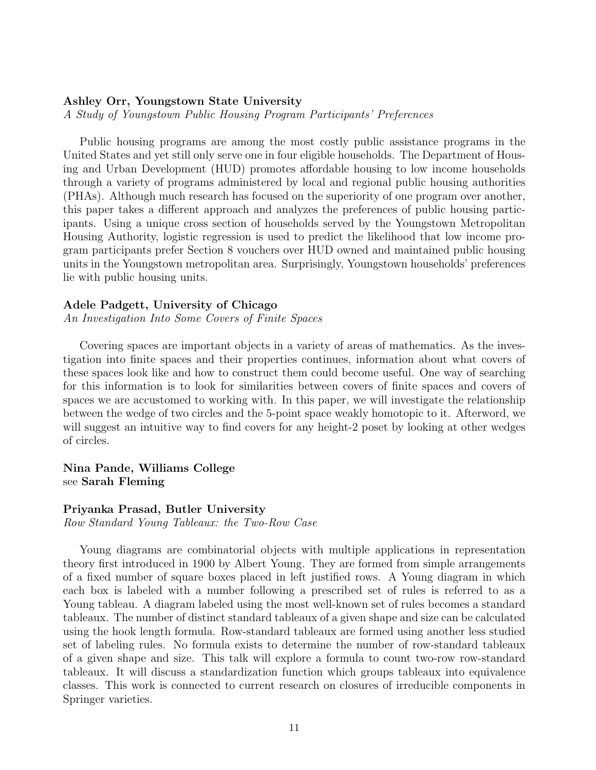# Ashley Orr, Youngstown State University

A Study of Youngstown Public Housing Program Participants' Preferences

Public housing programs are among the most costly public assistance programs in the United States and yet still only serve one in four eligible households. The Department of Housing and Urban Development (HUD) promotes affordable housing to low income households through a variety of programs administered by local and regional public housing authorities (PHAs). Although much research has focused on the superiority of one program over another, this paper takes a different approach and analyzes the preferences of public housing participants. Using a unique cross section of households served by the Youngstown Metropolitan Housing Authority, logistic regression is used to predict the likelihood that low income program participants prefer Section 8 vouchers over HUD owned and maintained public housing units in the Youngstown metropolitan area. Surprisingly, Youngstown households' preferences lie with public housing units.

#### Adele Padgett, University of Chicago

An Investigation Into Some Covers of Finite Spaces

Covering spaces are important objects in a variety of areas of mathematics. As the investigation into finite spaces and their properties continues, information about what covers of these spaces look like and how to construct them could become useful. One way of searching for this information is to look for similarities between covers of finite spaces and covers of spaces we are accustomed to working with. In this paper, we will investigate the relationship between the wedge of two circles and the 5-point space weakly homotopic to it. Afterword, we will suggest an intuitive way to find covers for any height-2 poset by looking at other wedges of circles.

Nina Pande, Williams College see Sarah Fleming

#### Priyanka Prasad, Butler University

Row Standard Young Tableaux: the Two-Row Case

Young diagrams are combinatorial objects with multiple applications in representation theory first introduced in 1900 by Albert Young. They are formed from simple arrangements of a fixed number of square boxes placed in left justified rows. A Young diagram in which each box is labeled with a number following a prescribed set of rules is referred to as a Young tableau. A diagram labeled using the most well-known set of rules becomes a standard tableaux. The number of distinct standard tableaux of a given shape and size can be calculated using the hook length formula. Row-standard tableaux are formed using another less studied set of labeling rules. No formula exists to determine the number of row-standard tableaux of a given shape and size. This talk will explore a formula to count two-row row-standard tableaux. It will discuss a standardization function which groups tableaux into equivalence classes. This work is connected to current research on closures of irreducible components in Springer varieties.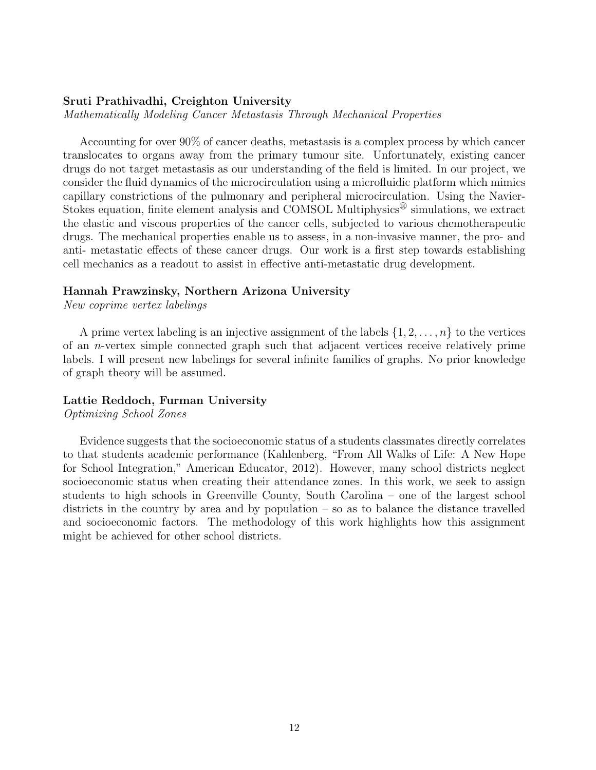# Sruti Prathivadhi, Creighton University

Mathematically Modeling Cancer Metastasis Through Mechanical Properties

Accounting for over 90% of cancer deaths, metastasis is a complex process by which cancer translocates to organs away from the primary tumour site. Unfortunately, existing cancer drugs do not target metastasis as our understanding of the field is limited. In our project, we consider the fluid dynamics of the microcirculation using a microfluidic platform which mimics capillary constrictions of the pulmonary and peripheral microcirculation. Using the Navier-Stokes equation, finite element analysis and COMSOL Multiphysics $^{\circledR}$  simulations, we extract the elastic and viscous properties of the cancer cells, subjected to various chemotherapeutic drugs. The mechanical properties enable us to assess, in a non-invasive manner, the pro- and anti- metastatic effects of these cancer drugs. Our work is a first step towards establishing cell mechanics as a readout to assist in effective anti-metastatic drug development.

## Hannah Prawzinsky, Northern Arizona University

New coprime vertex labelings

A prime vertex labeling is an injective assignment of the labels  $\{1, 2, \ldots, n\}$  to the vertices of an n-vertex simple connected graph such that adjacent vertices receive relatively prime labels. I will present new labelings for several infinite families of graphs. No prior knowledge of graph theory will be assumed.

# Lattie Reddoch, Furman University

Optimizing School Zones

Evidence suggests that the socioeconomic status of a students classmates directly correlates to that students academic performance (Kahlenberg, "From All Walks of Life: A New Hope for School Integration," American Educator, 2012). However, many school districts neglect socioeconomic status when creating their attendance zones. In this work, we seek to assign students to high schools in Greenville County, South Carolina – one of the largest school districts in the country by area and by population – so as to balance the distance travelled and socioeconomic factors. The methodology of this work highlights how this assignment might be achieved for other school districts.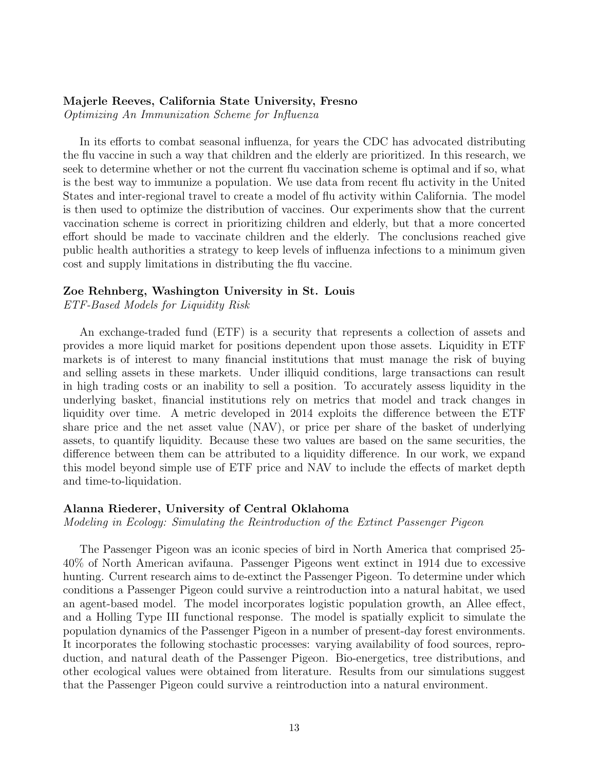## Majerle Reeves, California State University, Fresno

Optimizing An Immunization Scheme for Influenza

In its efforts to combat seasonal influenza, for years the CDC has advocated distributing the flu vaccine in such a way that children and the elderly are prioritized. In this research, we seek to determine whether or not the current flu vaccination scheme is optimal and if so, what is the best way to immunize a population. We use data from recent flu activity in the United States and inter-regional travel to create a model of flu activity within California. The model is then used to optimize the distribution of vaccines. Our experiments show that the current vaccination scheme is correct in prioritizing children and elderly, but that a more concerted effort should be made to vaccinate children and the elderly. The conclusions reached give public health authorities a strategy to keep levels of influenza infections to a minimum given cost and supply limitations in distributing the flu vaccine.

# Zoe Rehnberg, Washington University in St. Louis

ETF-Based Models for Liquidity Risk

An exchange-traded fund (ETF) is a security that represents a collection of assets and provides a more liquid market for positions dependent upon those assets. Liquidity in ETF markets is of interest to many financial institutions that must manage the risk of buying and selling assets in these markets. Under illiquid conditions, large transactions can result in high trading costs or an inability to sell a position. To accurately assess liquidity in the underlying basket, financial institutions rely on metrics that model and track changes in liquidity over time. A metric developed in 2014 exploits the difference between the ETF share price and the net asset value (NAV), or price per share of the basket of underlying assets, to quantify liquidity. Because these two values are based on the same securities, the difference between them can be attributed to a liquidity difference. In our work, we expand this model beyond simple use of ETF price and NAV to include the effects of market depth and time-to-liquidation.

#### Alanna Riederer, University of Central Oklahoma

Modeling in Ecology: Simulating the Reintroduction of the Extinct Passenger Pigeon

The Passenger Pigeon was an iconic species of bird in North America that comprised 25- 40% of North American avifauna. Passenger Pigeons went extinct in 1914 due to excessive hunting. Current research aims to de-extinct the Passenger Pigeon. To determine under which conditions a Passenger Pigeon could survive a reintroduction into a natural habitat, we used an agent-based model. The model incorporates logistic population growth, an Allee effect, and a Holling Type III functional response. The model is spatially explicit to simulate the population dynamics of the Passenger Pigeon in a number of present-day forest environments. It incorporates the following stochastic processes: varying availability of food sources, reproduction, and natural death of the Passenger Pigeon. Bio-energetics, tree distributions, and other ecological values were obtained from literature. Results from our simulations suggest that the Passenger Pigeon could survive a reintroduction into a natural environment.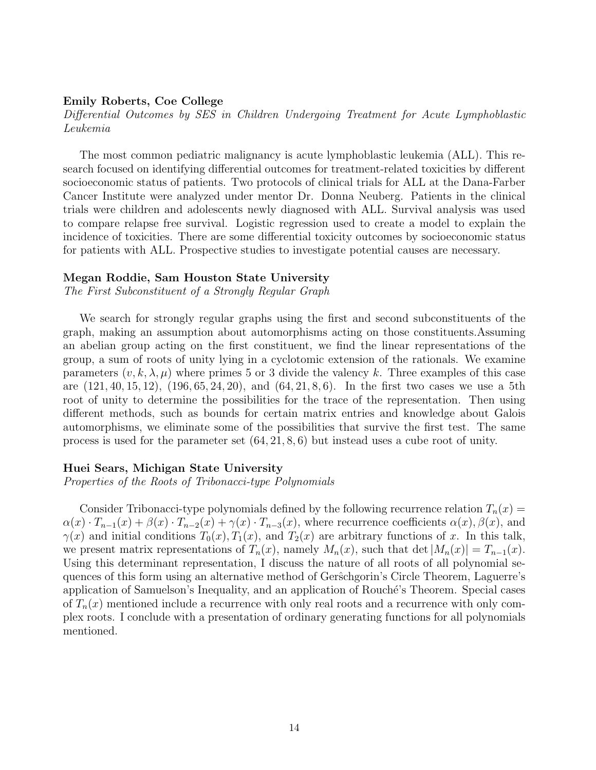#### Emily Roberts, Coe College

Differential Outcomes by SES in Children Undergoing Treatment for Acute Lymphoblastic Leukemia

The most common pediatric malignancy is acute lymphoblastic leukemia (ALL). This research focused on identifying differential outcomes for treatment-related toxicities by different socioeconomic status of patients. Two protocols of clinical trials for ALL at the Dana-Farber Cancer Institute were analyzed under mentor Dr. Donna Neuberg. Patients in the clinical trials were children and adolescents newly diagnosed with ALL. Survival analysis was used to compare relapse free survival. Logistic regression used to create a model to explain the incidence of toxicities. There are some differential toxicity outcomes by socioeconomic status for patients with ALL. Prospective studies to investigate potential causes are necessary.

#### Megan Roddie, Sam Houston State University

The First Subconstituent of a Strongly Regular Graph

We search for strongly regular graphs using the first and second subconstituents of the graph, making an assumption about automorphisms acting on those constituents.Assuming an abelian group acting on the first constituent, we find the linear representations of the group, a sum of roots of unity lying in a cyclotomic extension of the rationals. We examine parameters  $(v, k, \lambda, \mu)$  where primes 5 or 3 divide the valency k. Three examples of this case are  $(121, 40, 15, 12)$ ,  $(196, 65, 24, 20)$ , and  $(64, 21, 8, 6)$ . In the first two cases we use a 5th root of unity to determine the possibilities for the trace of the representation. Then using different methods, such as bounds for certain matrix entries and knowledge about Galois automorphisms, we eliminate some of the possibilities that survive the first test. The same process is used for the parameter set (64, 21, 8, 6) but instead uses a cube root of unity.

#### Huei Sears, Michigan State University

Properties of the Roots of Tribonacci-type Polynomials

Consider Tribonacci-type polynomials defined by the following recurrence relation  $T_n(x) =$  $\alpha(x) \cdot T_{n-1}(x) + \beta(x) \cdot T_{n-2}(x) + \gamma(x) \cdot T_{n-3}(x)$ , where recurrence coefficients  $\alpha(x)$ ,  $\beta(x)$ , and  $\gamma(x)$  and initial conditions  $T_0(x)$ ,  $T_1(x)$ , and  $T_2(x)$  are arbitrary functions of x. In this talk, we present matrix representations of  $T_n(x)$ , namely  $M_n(x)$ , such that det  $|M_n(x)| = T_{n-1}(x)$ . Using this determinant representation, I discuss the nature of all roots of all polynomial sequences of this form using an alternative method of Gerŝchgorin's Circle Theorem, Laguerre's application of Samuelson's Inequality, and an application of Rouché's Theorem. Special cases of  $T_n(x)$  mentioned include a recurrence with only real roots and a recurrence with only complex roots. I conclude with a presentation of ordinary generating functions for all polynomials mentioned.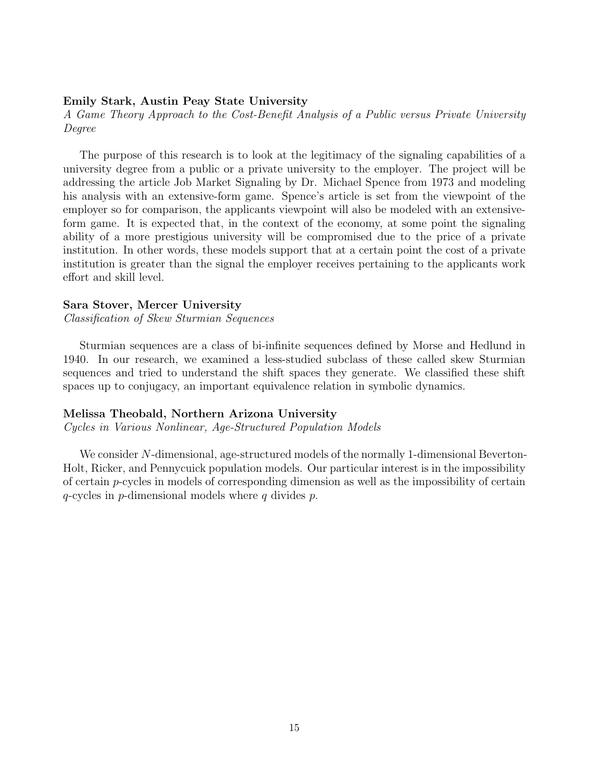## Emily Stark, Austin Peay State University

A Game Theory Approach to the Cost-Benefit Analysis of a Public versus Private University Degree

The purpose of this research is to look at the legitimacy of the signaling capabilities of a university degree from a public or a private university to the employer. The project will be addressing the article Job Market Signaling by Dr. Michael Spence from 1973 and modeling his analysis with an extensive-form game. Spence's article is set from the viewpoint of the employer so for comparison, the applicants viewpoint will also be modeled with an extensiveform game. It is expected that, in the context of the economy, at some point the signaling ability of a more prestigious university will be compromised due to the price of a private institution. In other words, these models support that at a certain point the cost of a private institution is greater than the signal the employer receives pertaining to the applicants work effort and skill level.

### Sara Stover, Mercer University

Classification of Skew Sturmian Sequences

Sturmian sequences are a class of bi-infinite sequences defined by Morse and Hedlund in 1940. In our research, we examined a less-studied subclass of these called skew Sturmian sequences and tried to understand the shift spaces they generate. We classified these shift spaces up to conjugacy, an important equivalence relation in symbolic dynamics.

# Melissa Theobald, Northern Arizona University

Cycles in Various Nonlinear, Age-Structured Population Models

We consider N-dimensional, age-structured models of the normally 1-dimensional Beverton-Holt, Ricker, and Pennycuick population models. Our particular interest is in the impossibility of certain p-cycles in models of corresponding dimension as well as the impossibility of certain  $q$ -cycles in p-dimensional models where q divides p.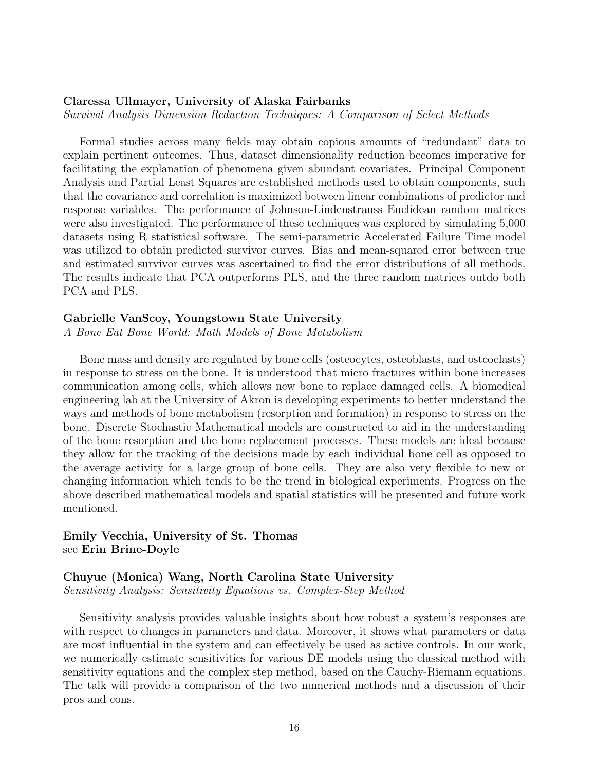# Claressa Ullmayer, University of Alaska Fairbanks

Survival Analysis Dimension Reduction Techniques: A Comparison of Select Methods

Formal studies across many fields may obtain copious amounts of "redundant" data to explain pertinent outcomes. Thus, dataset dimensionality reduction becomes imperative for facilitating the explanation of phenomena given abundant covariates. Principal Component Analysis and Partial Least Squares are established methods used to obtain components, such that the covariance and correlation is maximized between linear combinations of predictor and response variables. The performance of Johnson-Lindenstrauss Euclidean random matrices were also investigated. The performance of these techniques was explored by simulating 5,000 datasets using R statistical software. The semi-parametric Accelerated Failure Time model was utilized to obtain predicted survivor curves. Bias and mean-squared error between true and estimated survivor curves was ascertained to find the error distributions of all methods. The results indicate that PCA outperforms PLS, and the three random matrices outdo both PCA and PLS.

#### Gabrielle VanScoy, Youngstown State University

A Bone Eat Bone World: Math Models of Bone Metabolism

Bone mass and density are regulated by bone cells (osteocytes, osteoblasts, and osteoclasts) in response to stress on the bone. It is understood that micro fractures within bone increases communication among cells, which allows new bone to replace damaged cells. A biomedical engineering lab at the University of Akron is developing experiments to better understand the ways and methods of bone metabolism (resorption and formation) in response to stress on the bone. Discrete Stochastic Mathematical models are constructed to aid in the understanding of the bone resorption and the bone replacement processes. These models are ideal because they allow for the tracking of the decisions made by each individual bone cell as opposed to the average activity for a large group of bone cells. They are also very flexible to new or changing information which tends to be the trend in biological experiments. Progress on the above described mathematical models and spatial statistics will be presented and future work mentioned.

# Emily Vecchia, University of St. Thomas see Erin Brine-Doyle

# Chuyue (Monica) Wang, North Carolina State University Sensitivity Analysis: Sensitivity Equations vs. Complex-Step Method

Sensitivity analysis provides valuable insights about how robust a system's responses are with respect to changes in parameters and data. Moreover, it shows what parameters or data are most influential in the system and can effectively be used as active controls. In our work, we numerically estimate sensitivities for various DE models using the classical method with sensitivity equations and the complex step method, based on the Cauchy-Riemann equations. The talk will provide a comparison of the two numerical methods and a discussion of their pros and cons.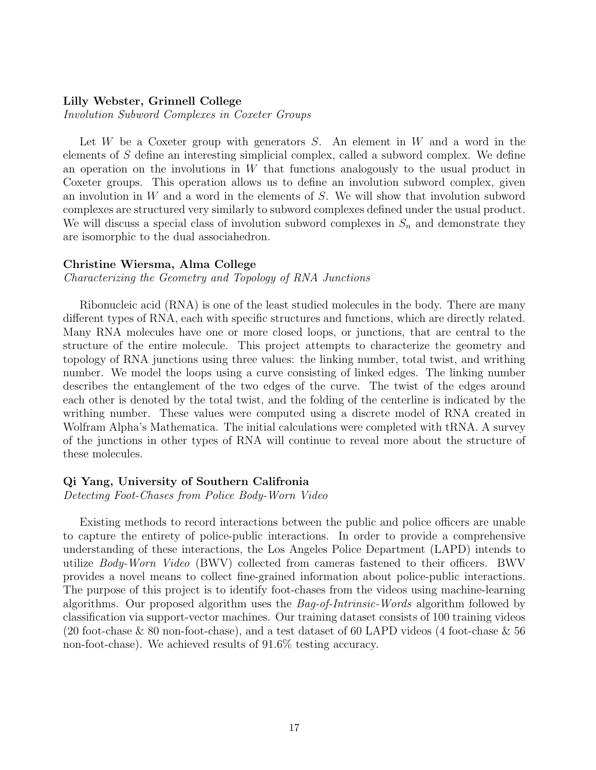### Lilly Webster, Grinnell College

Involution Subword Complexes in Coxeter Groups

Let W be a Coxeter group with generators  $S$ . An element in W and a word in the elements of  $S$  define an interesting simplicial complex, called a subword complex. We define an operation on the involutions in  $W$  that functions analogously to the usual product in Coxeter groups. This operation allows us to define an involution subword complex, given an involution in W and a word in the elements of S. We will show that involution subword complexes are structured very similarly to subword complexes defined under the usual product. We will discuss a special class of involution subword complexes in  $S_n$  and demonstrate they are isomorphic to the dual associahedron.

## Christine Wiersma, Alma College

Characterizing the Geometry and Topology of RNA Junctions

Ribonucleic acid (RNA) is one of the least studied molecules in the body. There are many different types of RNA, each with specific structures and functions, which are directly related. Many RNA molecules have one or more closed loops, or junctions, that are central to the structure of the entire molecule. This project attempts to characterize the geometry and topology of RNA junctions using three values: the linking number, total twist, and writhing number. We model the loops using a curve consisting of linked edges. The linking number describes the entanglement of the two edges of the curve. The twist of the edges around each other is denoted by the total twist, and the folding of the centerline is indicated by the writhing number. These values were computed using a discrete model of RNA created in Wolfram Alpha's Mathematica. The initial calculations were completed with tRNA. A survey of the junctions in other types of RNA will continue to reveal more about the structure of these molecules.

#### Qi Yang, University of Southern Califronia

Detecting Foot-Chases from Police Body-Worn Video

Existing methods to record interactions between the public and police officers are unable to capture the entirety of police-public interactions. In order to provide a comprehensive understanding of these interactions, the Los Angeles Police Department (LAPD) intends to utilize Body-Worn Video (BWV) collected from cameras fastened to their officers. BWV provides a novel means to collect fine-grained information about police-public interactions. The purpose of this project is to identify foot-chases from the videos using machine-learning algorithms. Our proposed algorithm uses the *Bag-of-Intrinsic-Words* algorithm followed by classification via support-vector machines. Our training dataset consists of 100 training videos (20 foot-chase & 80 non-foot-chase), and a test dataset of 60 LAPD videos (4 foot-chase & 56 non-foot-chase). We achieved results of 91.6% testing accuracy.